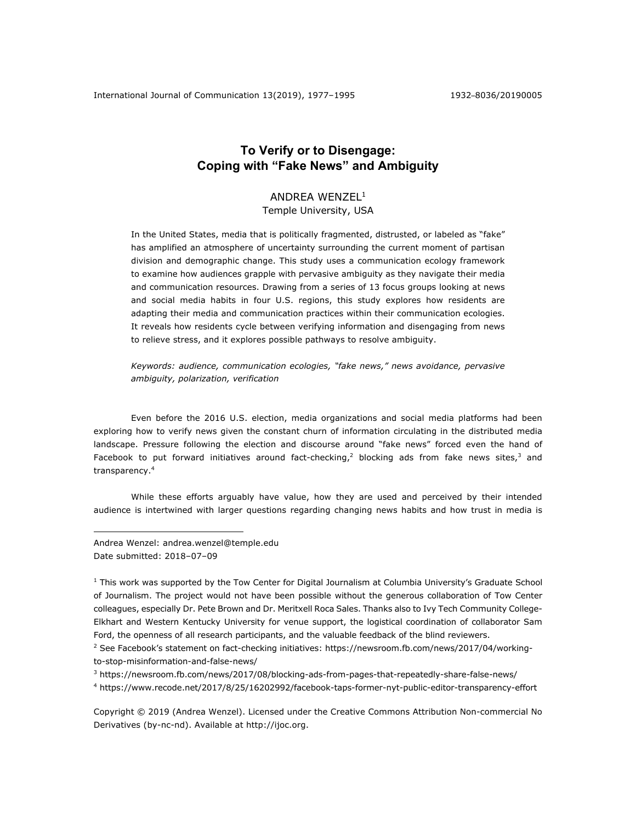# **To Verify or to Disengage: Coping with "Fake News" and Ambiguity**

# ANDREA WENZEL1

Temple University, USA

In the United States, media that is politically fragmented, distrusted, or labeled as "fake" has amplified an atmosphere of uncertainty surrounding the current moment of partisan division and demographic change. This study uses a communication ecology framework to examine how audiences grapple with pervasive ambiguity as they navigate their media and communication resources. Drawing from a series of 13 focus groups looking at news and social media habits in four U.S. regions, this study explores how residents are adapting their media and communication practices within their communication ecologies. It reveals how residents cycle between verifying information and disengaging from news to relieve stress, and it explores possible pathways to resolve ambiguity.

*Keywords: audience, communication ecologies, "fake news," news avoidance, pervasive ambiguity, polarization, verification*

Even before the 2016 U.S. election, media organizations and social media platforms had been exploring how to verify news given the constant churn of information circulating in the distributed media landscape. Pressure following the election and discourse around "fake news" forced even the hand of Facebook to put forward initiatives around fact-checking,<sup>2</sup> blocking ads from fake news sites,<sup>3</sup> and transparency.4

While these efforts arguably have value, how they are used and perceived by their intended audience is intertwined with larger questions regarding changing news habits and how trust in media is

Andrea Wenzel: andrea.wenzel@temple.edu Date submitted: 2018-07-09

1

<sup>1</sup> This work was supported by the Tow Center for Digital Journalism at Columbia University's Graduate School of Journalism. The project would not have been possible without the generous collaboration of Tow Center colleagues, especially Dr. Pete Brown and Dr. Meritxell Roca Sales. Thanks also to Ivy Tech Community College-Elkhart and Western Kentucky University for venue support, the logistical coordination of collaborator Sam Ford, the openness of all research participants, and the valuable feedback of the blind reviewers.

<sup>2</sup> See Facebook's statement on fact-checking initiatives: https://newsroom.fb.com/news/2017/04/workingto-stop-misinformation-and-false-news/

<sup>3</sup> https://newsroom.fb.com/news/2017/08/blocking-ads-from-pages-that-repeatedly-share-false-news/ <sup>4</sup> https://www.recode.net/2017/8/25/16202992/facebook-taps-former-nyt-public-editor-transparency-effort

Copyright © 2019 (Andrea Wenzel). Licensed under the Creative Commons Attribution Non-commercial No Derivatives (by-nc-nd). Available at http://ijoc.org.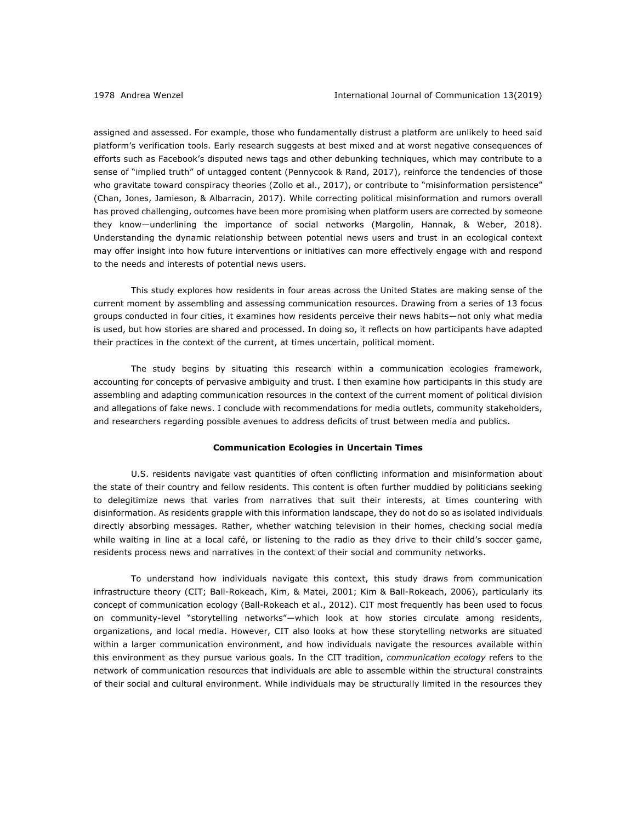assigned and assessed. For example, those who fundamentally distrust a platform are unlikely to heed said platform's verification tools. Early research suggests at best mixed and at worst negative consequences of efforts such as Facebook's disputed news tags and other debunking techniques, which may contribute to a sense of "implied truth" of untagged content (Pennycook & Rand, 2017), reinforce the tendencies of those who gravitate toward conspiracy theories (Zollo et al., 2017), or contribute to "misinformation persistence" (Chan, Jones, Jamieson, & Albarracin, 2017). While correcting political misinformation and rumors overall has proved challenging, outcomes have been more promising when platform users are corrected by someone they know—underlining the importance of social networks (Margolin, Hannak, & Weber, 2018). Understanding the dynamic relationship between potential news users and trust in an ecological context may offer insight into how future interventions or initiatives can more effectively engage with and respond to the needs and interests of potential news users.

This study explores how residents in four areas across the United States are making sense of the current moment by assembling and assessing communication resources. Drawing from a series of 13 focus groups conducted in four cities, it examines how residents perceive their news habits—not only what media is used, but how stories are shared and processed. In doing so, it reflects on how participants have adapted their practices in the context of the current, at times uncertain, political moment.

The study begins by situating this research within a communication ecologies framework, accounting for concepts of pervasive ambiguity and trust. I then examine how participants in this study are assembling and adapting communication resources in the context of the current moment of political division and allegations of fake news. I conclude with recommendations for media outlets, community stakeholders, and researchers regarding possible avenues to address deficits of trust between media and publics.

#### **Communication Ecologies in Uncertain Times**

U.S. residents navigate vast quantities of often conflicting information and misinformation about the state of their country and fellow residents. This content is often further muddied by politicians seeking to delegitimize news that varies from narratives that suit their interests, at times countering with disinformation. As residents grapple with this information landscape, they do not do so as isolated individuals directly absorbing messages. Rather, whether watching television in their homes, checking social media while waiting in line at a local café, or listening to the radio as they drive to their child's soccer game, residents process news and narratives in the context of their social and community networks.

To understand how individuals navigate this context, this study draws from communication infrastructure theory (CIT; Ball-Rokeach, Kim, & Matei, 2001; Kim & Ball-Rokeach, 2006), particularly its concept of communication ecology (Ball-Rokeach et al., 2012). CIT most frequently has been used to focus on community-level "storytelling networks"—which look at how stories circulate among residents, organizations, and local media. However, CIT also looks at how these storytelling networks are situated within a larger communication environment, and how individuals navigate the resources available within this environment as they pursue various goals. In the CIT tradition, *communication ecology* refers to the network of communication resources that individuals are able to assemble within the structural constraints of their social and cultural environment. While individuals may be structurally limited in the resources they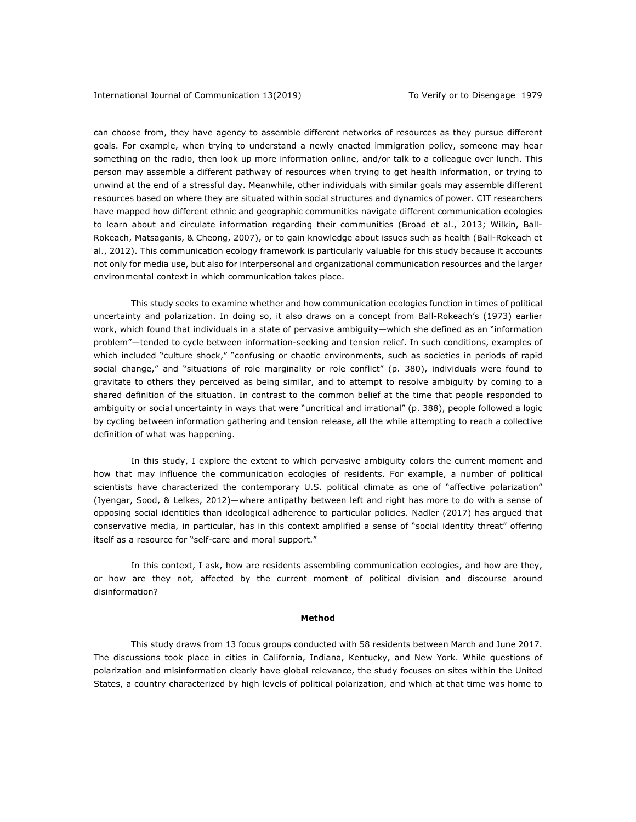can choose from, they have agency to assemble different networks of resources as they pursue different goals. For example, when trying to understand a newly enacted immigration policy, someone may hear something on the radio, then look up more information online, and/or talk to a colleague over lunch. This person may assemble a different pathway of resources when trying to get health information, or trying to unwind at the end of a stressful day. Meanwhile, other individuals with similar goals may assemble different resources based on where they are situated within social structures and dynamics of power. CIT researchers have mapped how different ethnic and geographic communities navigate different communication ecologies to learn about and circulate information regarding their communities (Broad et al., 2013; Wilkin, Ball-Rokeach, Matsaganis, & Cheong, 2007), or to gain knowledge about issues such as health (Ball-Rokeach et al., 2012). This communication ecology framework is particularly valuable for this study because it accounts not only for media use, but also for interpersonal and organizational communication resources and the larger environmental context in which communication takes place.

This study seeks to examine whether and how communication ecologies function in times of political uncertainty and polarization. In doing so, it also draws on a concept from Ball-Rokeach's (1973) earlier work, which found that individuals in a state of pervasive ambiguity—which she defined as an "information problem"—tended to cycle between information-seeking and tension relief. In such conditions, examples of which included "culture shock," "confusing or chaotic environments, such as societies in periods of rapid social change," and "situations of role marginality or role conflict" (p. 380), individuals were found to gravitate to others they perceived as being similar, and to attempt to resolve ambiguity by coming to a shared definition of the situation. In contrast to the common belief at the time that people responded to ambiguity or social uncertainty in ways that were "uncritical and irrational" (p. 388), people followed a logic by cycling between information gathering and tension release, all the while attempting to reach a collective definition of what was happening.

In this study, I explore the extent to which pervasive ambiguity colors the current moment and how that may influence the communication ecologies of residents. For example, a number of political scientists have characterized the contemporary U.S. political climate as one of "affective polarization" (Iyengar, Sood, & Lelkes, 2012)—where antipathy between left and right has more to do with a sense of opposing social identities than ideological adherence to particular policies. Nadler (2017) has argued that conservative media, in particular, has in this context amplified a sense of "social identity threat" offering itself as a resource for "self-care and moral support."

In this context, I ask, how are residents assembling communication ecologies, and how are they, or how are they not, affected by the current moment of political division and discourse around disinformation?

# **Method**

This study draws from 13 focus groups conducted with 58 residents between March and June 2017. The discussions took place in cities in California, Indiana, Kentucky, and New York. While questions of polarization and misinformation clearly have global relevance, the study focuses on sites within the United States, a country characterized by high levels of political polarization, and which at that time was home to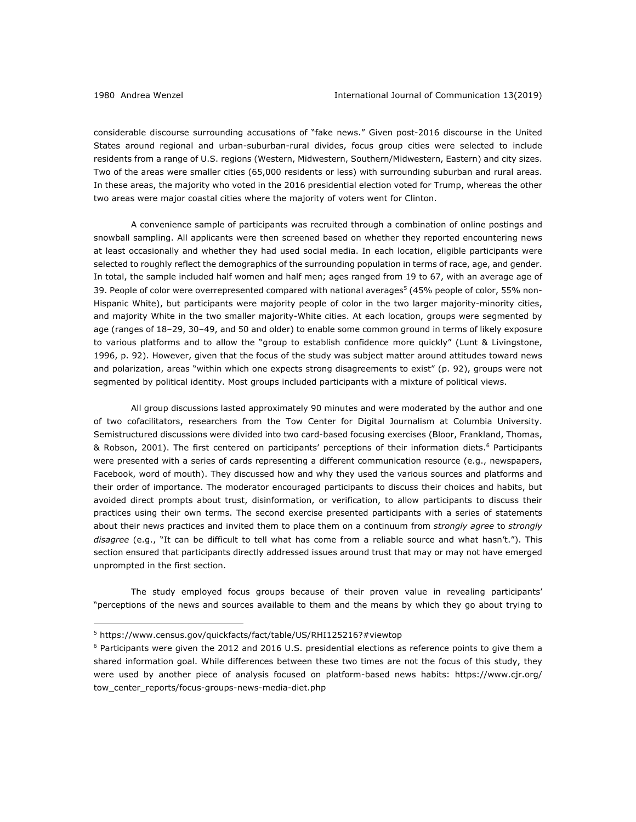considerable discourse surrounding accusations of "fake news." Given post-2016 discourse in the United States around regional and urban-suburban-rural divides, focus group cities were selected to include residents from a range of U.S. regions (Western, Midwestern, Southern/Midwestern, Eastern) and city sizes. Two of the areas were smaller cities (65,000 residents or less) with surrounding suburban and rural areas. In these areas, the majority who voted in the 2016 presidential election voted for Trump, whereas the other two areas were major coastal cities where the majority of voters went for Clinton.

A convenience sample of participants was recruited through a combination of online postings and snowball sampling. All applicants were then screened based on whether they reported encountering news at least occasionally and whether they had used social media. In each location, eligible participants were selected to roughly reflect the demographics of the surrounding population in terms of race, age, and gender. In total, the sample included half women and half men; ages ranged from 19 to 67, with an average age of 39. People of color were overrepresented compared with national averages<sup>5</sup> (45% people of color, 55% non-Hispanic White), but participants were majority people of color in the two larger majority-minority cities, and majority White in the two smaller majority-White cities. At each location, groups were segmented by age (ranges of 18–29, 30–49, and 50 and older) to enable some common ground in terms of likely exposure to various platforms and to allow the "group to establish confidence more quickly" (Lunt & Livingstone, 1996, p. 92). However, given that the focus of the study was subject matter around attitudes toward news and polarization, areas "within which one expects strong disagreements to exist" (p. 92), groups were not segmented by political identity. Most groups included participants with a mixture of political views.

All group discussions lasted approximately 90 minutes and were moderated by the author and one of two cofacilitators, researchers from the Tow Center for Digital Journalism at Columbia University. Semistructured discussions were divided into two card-based focusing exercises (Bloor, Frankland, Thomas, & Robson, 2001). The first centered on participants' perceptions of their information diets.<sup>6</sup> Participants were presented with a series of cards representing a different communication resource (e.g., newspapers, Facebook, word of mouth). They discussed how and why they used the various sources and platforms and their order of importance. The moderator encouraged participants to discuss their choices and habits, but avoided direct prompts about trust, disinformation, or verification, to allow participants to discuss their practices using their own terms. The second exercise presented participants with a series of statements about their news practices and invited them to place them on a continuum from *strongly agree* to *strongly disagree* (e.g., "It can be difficult to tell what has come from a reliable source and what hasn't."). This section ensured that participants directly addressed issues around trust that may or may not have emerged unprompted in the first section.

The study employed focus groups because of their proven value in revealing participants' "perceptions of the news and sources available to them and the means by which they go about trying to

<sup>5</sup> https://www.census.gov/quickfacts/fact/table/US/RHI125216?#viewtop

 $6$  Participants were given the 2012 and 2016 U.S. presidential elections as reference points to give them a shared information goal. While differences between these two times are not the focus of this study, they were used by another piece of analysis focused on platform-based news habits: https://www.cjr.org/ tow\_center\_reports/focus-groups-news-media-diet.php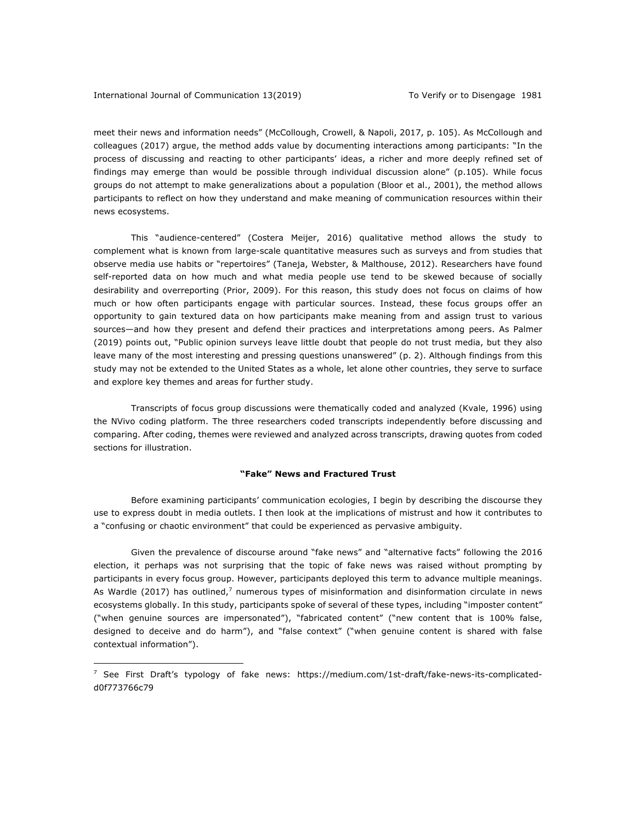meet their news and information needs" (McCollough, Crowell, & Napoli, 2017, p. 105). As McCollough and colleagues (2017) argue, the method adds value by documenting interactions among participants: "In the process of discussing and reacting to other participants' ideas, a richer and more deeply refined set of findings may emerge than would be possible through individual discussion alone" (p.105). While focus groups do not attempt to make generalizations about a population (Bloor et al., 2001), the method allows participants to reflect on how they understand and make meaning of communication resources within their news ecosystems.

This "audience-centered" (Costera Meijer, 2016) qualitative method allows the study to complement what is known from large-scale quantitative measures such as surveys and from studies that observe media use habits or "repertoires" (Taneja, Webster, & Malthouse, 2012). Researchers have found self-reported data on how much and what media people use tend to be skewed because of socially desirability and overreporting (Prior, 2009). For this reason, this study does not focus on claims of how much or how often participants engage with particular sources. Instead, these focus groups offer an opportunity to gain textured data on how participants make meaning from and assign trust to various sources—and how they present and defend their practices and interpretations among peers. As Palmer (2019) points out, "Public opinion surveys leave little doubt that people do not trust media, but they also leave many of the most interesting and pressing questions unanswered" (p. 2). Although findings from this study may not be extended to the United States as a whole, let alone other countries, they serve to surface and explore key themes and areas for further study.

Transcripts of focus group discussions were thematically coded and analyzed (Kvale, 1996) using the NVivo coding platform. The three researchers coded transcripts independently before discussing and comparing. After coding, themes were reviewed and analyzed across transcripts, drawing quotes from coded sections for illustration.

## **"Fake" News and Fractured Trust**

Before examining participants' communication ecologies, I begin by describing the discourse they use to express doubt in media outlets. I then look at the implications of mistrust and how it contributes to a "confusing or chaotic environment" that could be experienced as pervasive ambiguity.

Given the prevalence of discourse around "fake news" and "alternative facts" following the 2016 election, it perhaps was not surprising that the topic of fake news was raised without prompting by participants in every focus group. However, participants deployed this term to advance multiple meanings. As Wardle (2017) has outlined, $<sup>7</sup>$  numerous types of misinformation and disinformation circulate in news</sup> ecosystems globally. In this study, participants spoke of several of these types, including "imposter content" ("when genuine sources are impersonated"), "fabricated content" ("new content that is 100% false, designed to deceive and do harm"), and "false context" ("when genuine content is shared with false contextual information").

 $^7$  See First Draft's typology of fake news: https://medium.com/1st-draft/fake-news-its-complicatedd0f773766c79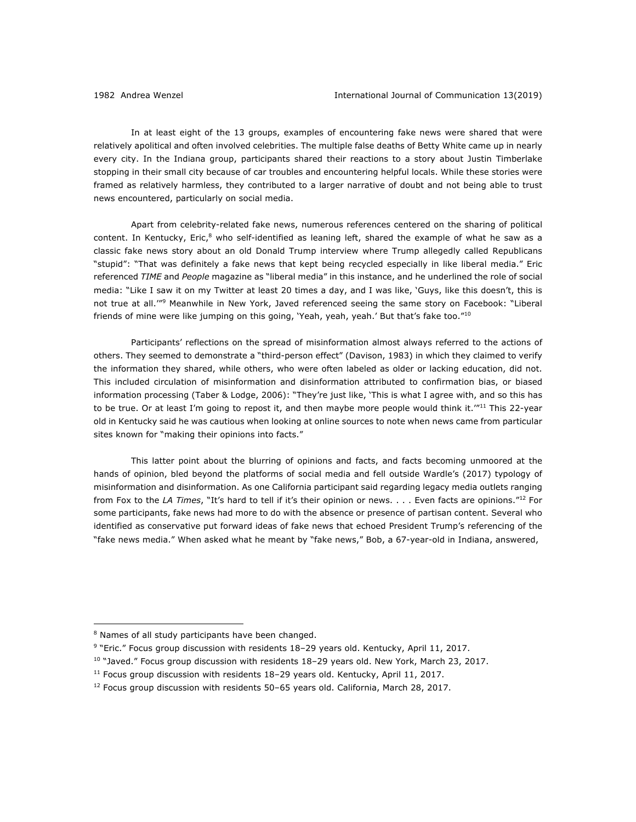In at least eight of the 13 groups, examples of encountering fake news were shared that were relatively apolitical and often involved celebrities. The multiple false deaths of Betty White came up in nearly every city. In the Indiana group, participants shared their reactions to a story about Justin Timberlake stopping in their small city because of car troubles and encountering helpful locals. While these stories were framed as relatively harmless, they contributed to a larger narrative of doubt and not being able to trust news encountered, particularly on social media.

Apart from celebrity-related fake news, numerous references centered on the sharing of political content. In Kentucky, Eric,<sup>8</sup> who self-identified as leaning left, shared the example of what he saw as a classic fake news story about an old Donald Trump interview where Trump allegedly called Republicans "stupid": "That was definitely a fake news that kept being recycled especially in like liberal media." Eric referenced *TIME* and *People* magazine as "liberal media" in this instance, and he underlined the role of social media: "Like I saw it on my Twitter at least 20 times a day, and I was like, 'Guys, like this doesn't, this is not true at all.'"9 Meanwhile in New York, Javed referenced seeing the same story on Facebook: "Liberal friends of mine were like jumping on this going, 'Yeah, yeah, yeah.' But that's fake too."<sup>10</sup>

Participants' reflections on the spread of misinformation almost always referred to the actions of others. They seemed to demonstrate a "third-person effect" (Davison, 1983) in which they claimed to verify the information they shared, while others, who were often labeled as older or lacking education, did not. This included circulation of misinformation and disinformation attributed to confirmation bias, or biased information processing (Taber & Lodge, 2006): "They're just like, 'This is what I agree with, and so this has to be true. Or at least I'm going to repost it, and then maybe more people would think it.<sup>'"11</sup> This 22-year old in Kentucky said he was cautious when looking at online sources to note when news came from particular sites known for "making their opinions into facts."

This latter point about the blurring of opinions and facts, and facts becoming unmoored at the hands of opinion, bled beyond the platforms of social media and fell outside Wardle's (2017) typology of misinformation and disinformation. As one California participant said regarding legacy media outlets ranging from Fox to the *LA Times*, "It's hard to tell if it's their opinion or news. . . . Even facts are opinions."12 For some participants, fake news had more to do with the absence or presence of partisan content. Several who identified as conservative put forward ideas of fake news that echoed President Trump's referencing of the "fake news media." When asked what he meant by "fake news," Bob, a 67-year-old in Indiana, answered,

<sup>&</sup>lt;sup>8</sup> Names of all study participants have been changed.

<sup>9</sup> "Eric." Focus group discussion with residents 18–29 years old. Kentucky, April 11, 2017.

<sup>&</sup>lt;sup>10</sup> "Javed." Focus group discussion with residents 18-29 years old. New York, March 23, 2017.

 $11$  Focus group discussion with residents  $18-29$  years old. Kentucky, April 11, 2017.

 $12$  Focus group discussion with residents 50-65 years old. California, March 28, 2017.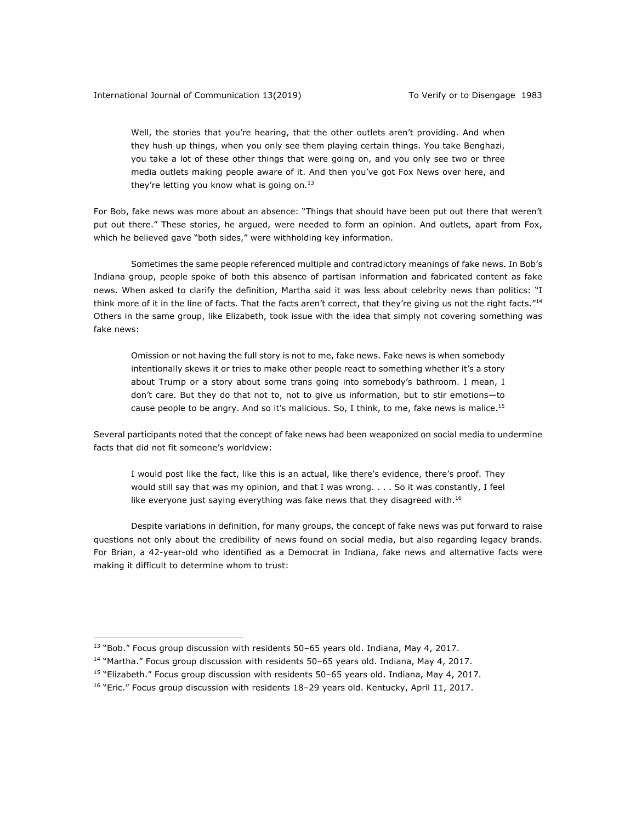Well, the stories that you're hearing, that the other outlets aren't providing. And when they hush up things, when you only see them playing certain things. You take Benghazi, you take a lot of these other things that were going on, and you only see two or three media outlets making people aware of it. And then you've got Fox News over here, and they're letting you know what is going on. $13$ 

For Bob, fake news was more about an absence: "Things that should have been put out there that weren't put out there." These stories, he argued, were needed to form an opinion. And outlets, apart from Fox, which he believed gave "both sides," were withholding key information.

Sometimes the same people referenced multiple and contradictory meanings of fake news. In Bob's Indiana group, people spoke of both this absence of partisan information and fabricated content as fake news. When asked to clarify the definition, Martha said it was less about celebrity news than politics: "I think more of it in the line of facts. That the facts aren't correct, that they're giving us not the right facts."<sup>14</sup> Others in the same group, like Elizabeth, took issue with the idea that simply not covering something was fake news:

Omission or not having the full story is not to me, fake news. Fake news is when somebody intentionally skews it or tries to make other people react to something whether it's a story about Trump or a story about some trans going into somebody's bathroom. I mean, I don't care. But they do that not to, not to give us information, but to stir emotions—to cause people to be angry. And so it's malicious. So, I think, to me, fake news is malice.<sup>15</sup>

Several participants noted that the concept of fake news had been weaponized on social media to undermine facts that did not fit someone's worldview:

I would post like the fact, like this is an actual, like there's evidence, there's proof. They would still say that was my opinion, and that I was wrong. . . . So it was constantly, I feel like everyone just saying everything was fake news that they disagreed with. $16$ 

Despite variations in definition, for many groups, the concept of fake news was put forward to raise questions not only about the credibility of news found on social media, but also regarding legacy brands. For Brian, a 42-year-old who identified as a Democrat in Indiana, fake news and alternative facts were making it difficult to determine whom to trust:

 $13$  "Bob." Focus group discussion with residents 50-65 years old. Indiana, May 4, 2017.

 $14$  "Martha." Focus group discussion with residents 50-65 years old. Indiana, May 4, 2017.

 $15$  "Elizabeth." Focus group discussion with residents 50-65 years old. Indiana, May 4, 2017.

 $16$  "Eric." Focus group discussion with residents  $18-29$  years old. Kentucky, April 11, 2017.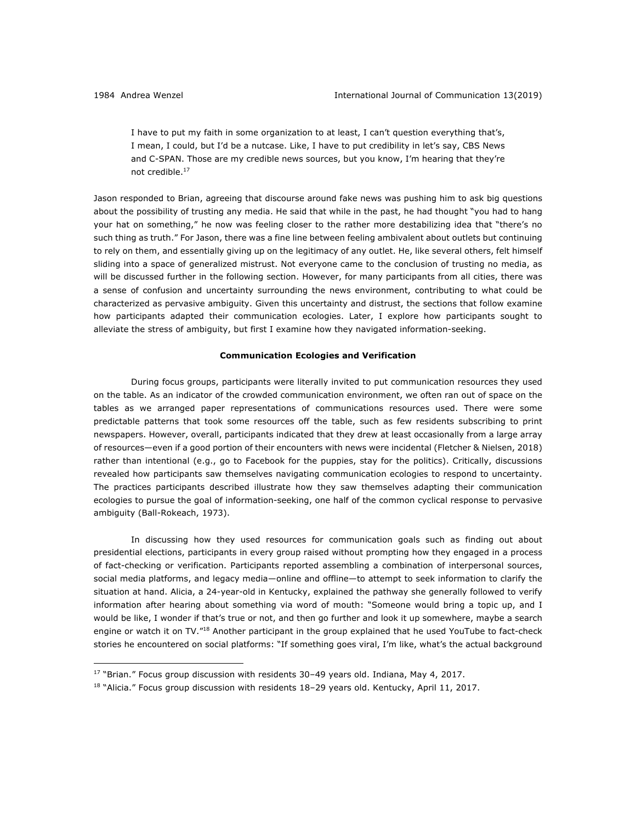I have to put my faith in some organization to at least, I can't question everything that's, I mean, I could, but I'd be a nutcase. Like, I have to put credibility in let's say, CBS News and C-SPAN. Those are my credible news sources, but you know, I'm hearing that they're not credible.17

Jason responded to Brian, agreeing that discourse around fake news was pushing him to ask big questions about the possibility of trusting any media. He said that while in the past, he had thought "you had to hang your hat on something," he now was feeling closer to the rather more destabilizing idea that "there's no such thing as truth." For Jason, there was a fine line between feeling ambivalent about outlets but continuing to rely on them, and essentially giving up on the legitimacy of any outlet. He, like several others, felt himself sliding into a space of generalized mistrust. Not everyone came to the conclusion of trusting no media, as will be discussed further in the following section. However, for many participants from all cities, there was a sense of confusion and uncertainty surrounding the news environment, contributing to what could be characterized as pervasive ambiguity. Given this uncertainty and distrust, the sections that follow examine how participants adapted their communication ecologies. Later, I explore how participants sought to alleviate the stress of ambiguity, but first I examine how they navigated information-seeking.

#### **Communication Ecologies and Verification**

During focus groups, participants were literally invited to put communication resources they used on the table. As an indicator of the crowded communication environment, we often ran out of space on the tables as we arranged paper representations of communications resources used. There were some predictable patterns that took some resources off the table, such as few residents subscribing to print newspapers. However, overall, participants indicated that they drew at least occasionally from a large array of resources—even if a good portion of their encounters with news were incidental (Fletcher & Nielsen, 2018) rather than intentional (e.g., go to Facebook for the puppies, stay for the politics). Critically, discussions revealed how participants saw themselves navigating communication ecologies to respond to uncertainty. The practices participants described illustrate how they saw themselves adapting their communication ecologies to pursue the goal of information-seeking, one half of the common cyclical response to pervasive ambiguity (Ball-Rokeach, 1973).

In discussing how they used resources for communication goals such as finding out about presidential elections, participants in every group raised without prompting how they engaged in a process of fact-checking or verification. Participants reported assembling a combination of interpersonal sources, social media platforms, and legacy media—online and offline—to attempt to seek information to clarify the situation at hand. Alicia, a 24-year-old in Kentucky, explained the pathway she generally followed to verify information after hearing about something via word of mouth: "Someone would bring a topic up, and I would be like, I wonder if that's true or not, and then go further and look it up somewhere, maybe a search engine or watch it on TV."18 Another participant in the group explained that he used YouTube to fact-check stories he encountered on social platforms: "If something goes viral, I'm like, what's the actual background

 $17$  "Brian." Focus group discussion with residents 30-49 years old. Indiana, May 4, 2017.

 $18$  "Alicia." Focus group discussion with residents  $18-29$  years old. Kentucky, April 11, 2017.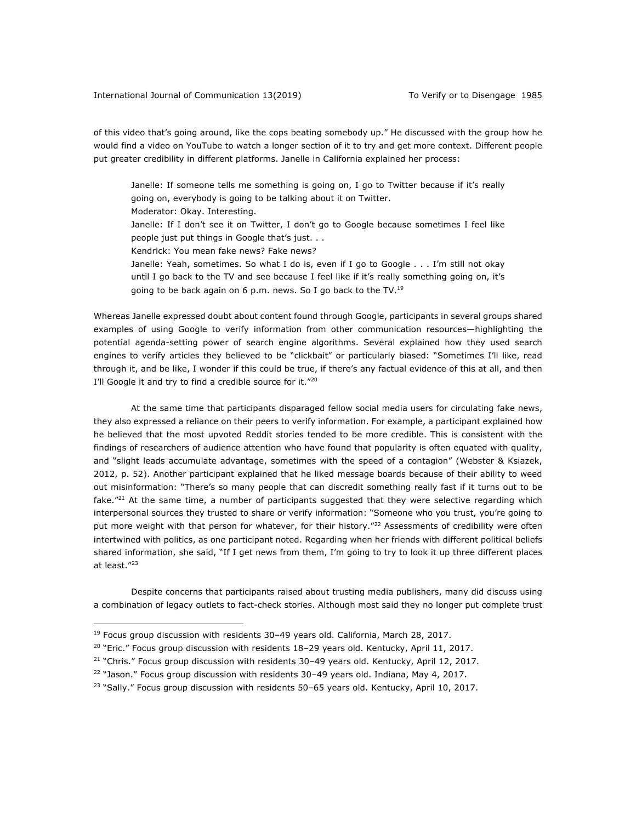of this video that's going around, like the cops beating somebody up." He discussed with the group how he would find a video on YouTube to watch a longer section of it to try and get more context. Different people put greater credibility in different platforms. Janelle in California explained her process:

Janelle: If someone tells me something is going on, I go to Twitter because if it's really going on, everybody is going to be talking about it on Twitter. Moderator: Okay. Interesting. Janelle: If I don't see it on Twitter, I don't go to Google because sometimes I feel like people just put things in Google that's just. . . Kendrick: You mean fake news? Fake news? Janelle: Yeah, sometimes. So what I do is, even if I go to Google . . . I'm still not okay until I go back to the TV and see because I feel like if it's really something going on, it's going to be back again on 6 p.m. news. So I go back to the TV.<sup>19</sup>

Whereas Janelle expressed doubt about content found through Google, participants in several groups shared examples of using Google to verify information from other communication resources—highlighting the potential agenda-setting power of search engine algorithms. Several explained how they used search engines to verify articles they believed to be "clickbait" or particularly biased: "Sometimes I'll like, read through it, and be like, I wonder if this could be true, if there's any factual evidence of this at all, and then I'll Google it and try to find a credible source for it."20

At the same time that participants disparaged fellow social media users for circulating fake news, they also expressed a reliance on their peers to verify information. For example, a participant explained how he believed that the most upvoted Reddit stories tended to be more credible. This is consistent with the findings of researchers of audience attention who have found that popularity is often equated with quality, and "slight leads accumulate advantage, sometimes with the speed of a contagion" (Webster & Ksiazek, 2012, p. 52). Another participant explained that he liked message boards because of their ability to weed out misinformation: "There's so many people that can discredit something really fast if it turns out to be fake. $"^{21}$  At the same time, a number of participants suggested that they were selective regarding which interpersonal sources they trusted to share or verify information: "Someone who you trust, you're going to put more weight with that person for whatever, for their history."<sup>22</sup> Assessments of credibility were often intertwined with politics, as one participant noted. Regarding when her friends with different political beliefs shared information, she said, "If I get news from them, I'm going to try to look it up three different places at least."23

Despite concerns that participants raised about trusting media publishers, many did discuss using a combination of legacy outlets to fact-check stories. Although most said they no longer put complete trust

 $19$  Focus group discussion with residents 30-49 years old. California, March 28, 2017.

<sup>&</sup>lt;sup>20</sup> "Eric." Focus group discussion with residents 18-29 years old. Kentucky, April 11, 2017.

 $21$  "Chris." Focus group discussion with residents 30-49 years old. Kentucky, April 12, 2017.

 $22$  "Jason." Focus group discussion with residents 30-49 years old. Indiana, May 4, 2017.

 $23$  "Sally." Focus group discussion with residents 50–65 years old. Kentucky, April 10, 2017.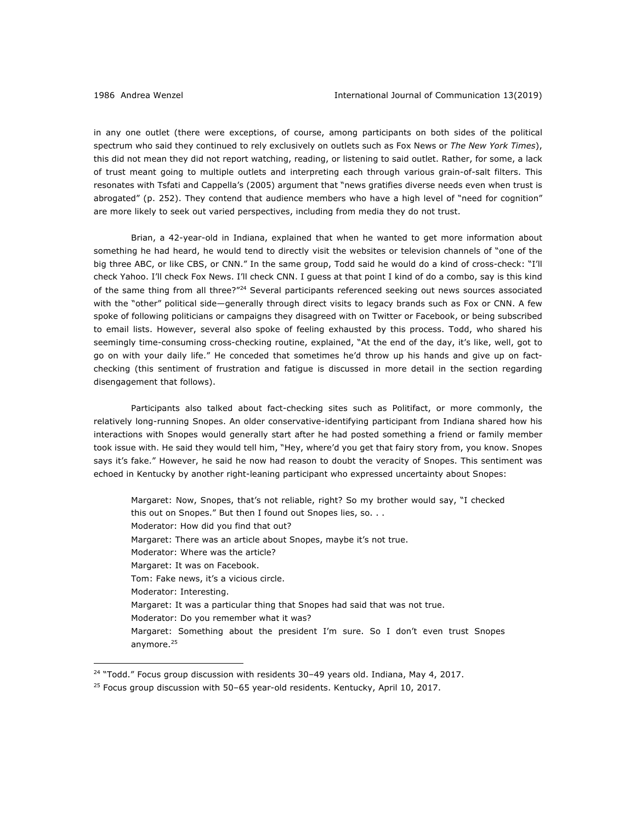in any one outlet (there were exceptions, of course, among participants on both sides of the political spectrum who said they continued to rely exclusively on outlets such as Fox News or *The New York Times*), this did not mean they did not report watching, reading, or listening to said outlet. Rather, for some, a lack of trust meant going to multiple outlets and interpreting each through various grain-of-salt filters. This resonates with Tsfati and Cappella's (2005) argument that "news gratifies diverse needs even when trust is abrogated" (p. 252). They contend that audience members who have a high level of "need for cognition" are more likely to seek out varied perspectives, including from media they do not trust.

Brian, a 42-year-old in Indiana, explained that when he wanted to get more information about something he had heard, he would tend to directly visit the websites or television channels of "one of the big three ABC, or like CBS, or CNN." In the same group, Todd said he would do a kind of cross-check: "I'll check Yahoo. I'll check Fox News. I'll check CNN. I guess at that point I kind of do a combo, say is this kind of the same thing from all three?"<sup>24</sup> Several participants referenced seeking out news sources associated with the "other" political side—generally through direct visits to legacy brands such as Fox or CNN. A few spoke of following politicians or campaigns they disagreed with on Twitter or Facebook, or being subscribed to email lists. However, several also spoke of feeling exhausted by this process. Todd, who shared his seemingly time-consuming cross-checking routine, explained, "At the end of the day, it's like, well, got to go on with your daily life." He conceded that sometimes he'd throw up his hands and give up on factchecking (this sentiment of frustration and fatigue is discussed in more detail in the section regarding disengagement that follows).

Participants also talked about fact-checking sites such as Politifact, or more commonly, the relatively long-running Snopes. An older conservative-identifying participant from Indiana shared how his interactions with Snopes would generally start after he had posted something a friend or family member took issue with. He said they would tell him, "Hey, where'd you get that fairy story from, you know. Snopes says it's fake." However, he said he now had reason to doubt the veracity of Snopes. This sentiment was echoed in Kentucky by another right-leaning participant who expressed uncertainty about Snopes:

Margaret: Now, Snopes, that's not reliable, right? So my brother would say, "I checked this out on Snopes." But then I found out Snopes lies, so. . . Moderator: How did you find that out? Margaret: There was an article about Snopes, maybe it's not true. Moderator: Where was the article? Margaret: It was on Facebook. Tom: Fake news, it's a vicious circle. Moderator: Interesting. Margaret: It was a particular thing that Snopes had said that was not true. Moderator: Do you remember what it was? Margaret: Something about the president I'm sure. So I don't even trust Snopes anymore.<sup>25</sup>

 $24$  "Todd." Focus group discussion with residents 30-49 years old. Indiana, May 4, 2017.

 $25$  Focus group discussion with 50–65 year-old residents. Kentucky, April 10, 2017.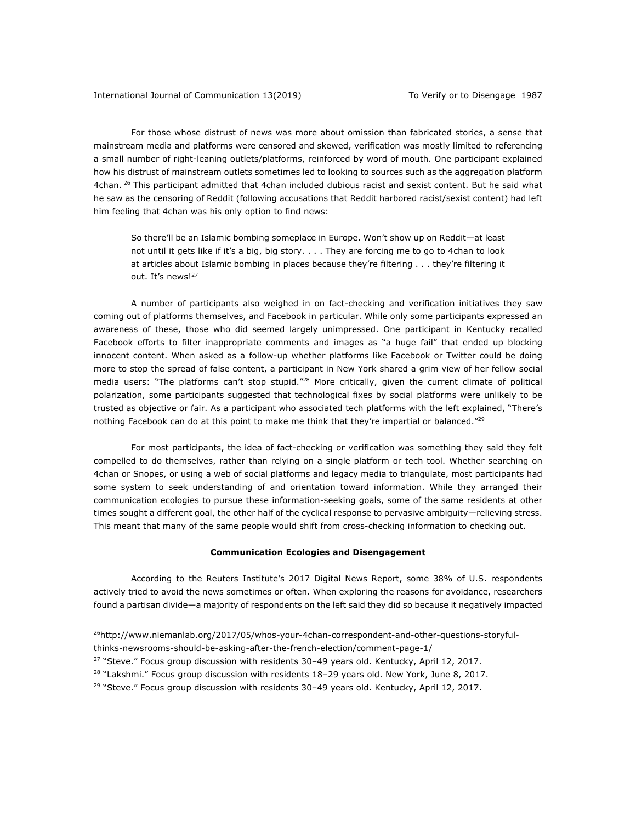For those whose distrust of news was more about omission than fabricated stories, a sense that mainstream media and platforms were censored and skewed, verification was mostly limited to referencing a small number of right-leaning outlets/platforms, reinforced by word of mouth. One participant explained how his distrust of mainstream outlets sometimes led to looking to sources such as the aggregation platform 4chan. <sup>26</sup> This participant admitted that 4chan included dubious racist and sexist content. But he said what he saw as the censoring of Reddit (following accusations that Reddit harbored racist/sexist content) had left him feeling that 4chan was his only option to find news:

So there'll be an Islamic bombing someplace in Europe. Won't show up on Reddit—at least not until it gets like if it's a big, big story. . . . They are forcing me to go to 4chan to look at articles about Islamic bombing in places because they're filtering . . . they're filtering it out. It's news!<sup>27</sup>

A number of participants also weighed in on fact-checking and verification initiatives they saw coming out of platforms themselves, and Facebook in particular. While only some participants expressed an awareness of these, those who did seemed largely unimpressed. One participant in Kentucky recalled Facebook efforts to filter inappropriate comments and images as "a huge fail" that ended up blocking innocent content. When asked as a follow-up whether platforms like Facebook or Twitter could be doing more to stop the spread of false content, a participant in New York shared a grim view of her fellow social media users: "The platforms can't stop stupid."28 More critically, given the current climate of political polarization, some participants suggested that technological fixes by social platforms were unlikely to be trusted as objective or fair. As a participant who associated tech platforms with the left explained, "There's nothing Facebook can do at this point to make me think that they're impartial or balanced."<sup>29</sup>

For most participants, the idea of fact-checking or verification was something they said they felt compelled to do themselves, rather than relying on a single platform or tech tool. Whether searching on 4chan or Snopes, or using a web of social platforms and legacy media to triangulate, most participants had some system to seek understanding of and orientation toward information. While they arranged their communication ecologies to pursue these information-seeking goals, some of the same residents at other times sought a different goal, the other half of the cyclical response to pervasive ambiguity—relieving stress. This meant that many of the same people would shift from cross-checking information to checking out.

#### **Communication Ecologies and Disengagement**

According to the Reuters Institute's 2017 Digital News Report, some 38% of U.S. respondents actively tried to avoid the news sometimes or often. When exploring the reasons for avoidance, researchers found a partisan divide—a majority of respondents on the left said they did so because it negatively impacted

<sup>26</sup>http://www.niemanlab.org/2017/05/whos-your-4chan-correspondent-and-other-questions-storyfulthinks-newsrooms-should-be-asking-after-the-french-election/comment-page-1/

 $27$  "Steve." Focus group discussion with residents 30-49 years old. Kentucky, April 12, 2017.

 $28$  "Lakshmi." Focus group discussion with residents  $18-29$  years old. New York, June 8, 2017.

<sup>&</sup>lt;sup>29</sup> "Steve." Focus group discussion with residents  $30-49$  years old. Kentucky, April 12, 2017.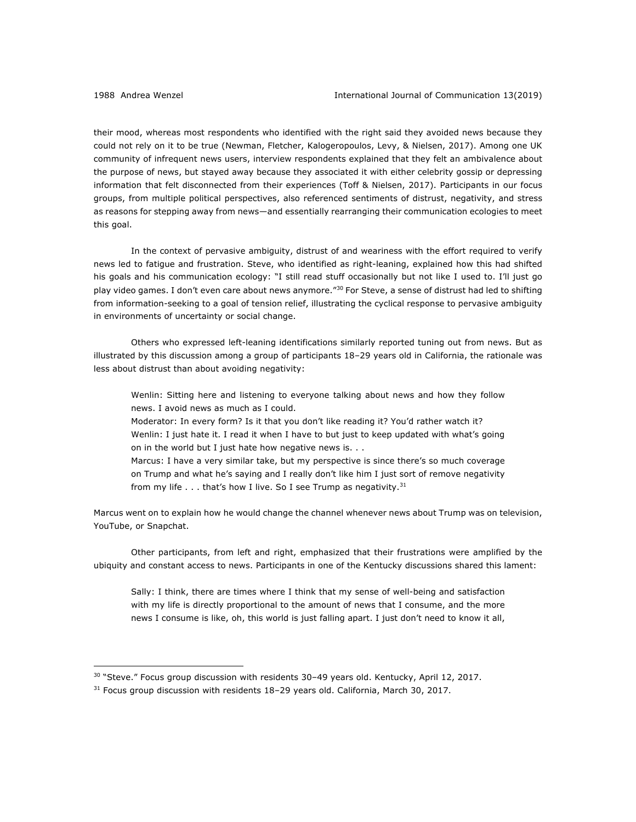<u>.</u>

their mood, whereas most respondents who identified with the right said they avoided news because they could not rely on it to be true (Newman, Fletcher, Kalogeropoulos, Levy, & Nielsen, 2017). Among one UK community of infrequent news users, interview respondents explained that they felt an ambivalence about the purpose of news, but stayed away because they associated it with either celebrity gossip or depressing information that felt disconnected from their experiences (Toff & Nielsen, 2017). Participants in our focus groups, from multiple political perspectives, also referenced sentiments of distrust, negativity, and stress as reasons for stepping away from news—and essentially rearranging their communication ecologies to meet this goal.

In the context of pervasive ambiguity, distrust of and weariness with the effort required to verify news led to fatigue and frustration. Steve, who identified as right-leaning, explained how this had shifted his goals and his communication ecology: "I still read stuff occasionally but not like I used to. I'll just go play video games. I don't even care about news anymore."<sup>30</sup> For Steve, a sense of distrust had led to shifting from information-seeking to a goal of tension relief, illustrating the cyclical response to pervasive ambiguity in environments of uncertainty or social change.

Others who expressed left-leaning identifications similarly reported tuning out from news. But as illustrated by this discussion among a group of participants 18–29 years old in California, the rationale was less about distrust than about avoiding negativity:

Wenlin: Sitting here and listening to everyone talking about news and how they follow news. I avoid news as much as I could.

Moderator: In every form? Is it that you don't like reading it? You'd rather watch it? Wenlin: I just hate it. I read it when I have to but just to keep updated with what's going on in the world but I just hate how negative news is. . .

Marcus: I have a very similar take, but my perspective is since there's so much coverage on Trump and what he's saying and I really don't like him I just sort of remove negativity from my life  $\ldots$  that's how I live. So I see Trump as negativity.<sup>31</sup>

Marcus went on to explain how he would change the channel whenever news about Trump was on television, YouTube, or Snapchat.

Other participants, from left and right, emphasized that their frustrations were amplified by the ubiquity and constant access to news. Participants in one of the Kentucky discussions shared this lament:

Sally: I think, there are times where I think that my sense of well-being and satisfaction with my life is directly proportional to the amount of news that I consume, and the more news I consume is like, oh, this world is just falling apart. I just don't need to know it all,

 $30$  "Steve." Focus group discussion with residents 30-49 years old. Kentucky, April 12, 2017.

 $31$  Focus group discussion with residents 18-29 years old. California, March 30, 2017.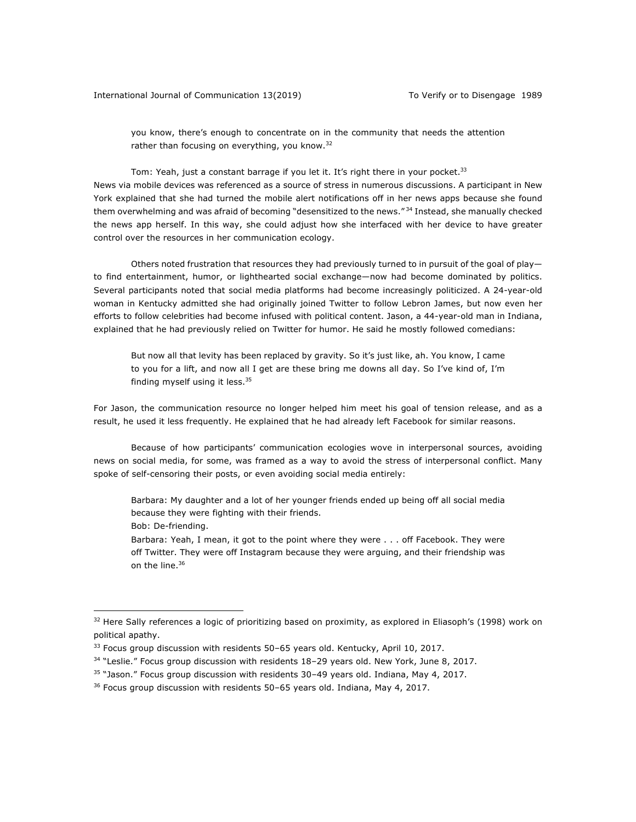you know, there's enough to concentrate on in the community that needs the attention rather than focusing on everything, you know.<sup>32</sup>

Tom: Yeah, just a constant barrage if you let it. It's right there in your pocket.<sup>33</sup> News via mobile devices was referenced as a source of stress in numerous discussions. A participant in New York explained that she had turned the mobile alert notifications off in her news apps because she found them overwhelming and was afraid of becoming "desensitized to the news." <sup>34</sup> Instead, she manually checked the news app herself. In this way, she could adjust how she interfaced with her device to have greater control over the resources in her communication ecology.

Others noted frustration that resources they had previously turned to in pursuit of the goal of play to find entertainment, humor, or lighthearted social exchange—now had become dominated by politics. Several participants noted that social media platforms had become increasingly politicized. A 24-year-old woman in Kentucky admitted she had originally joined Twitter to follow Lebron James, but now even her efforts to follow celebrities had become infused with political content. Jason, a 44-year-old man in Indiana, explained that he had previously relied on Twitter for humor. He said he mostly followed comedians:

But now all that levity has been replaced by gravity. So it's just like, ah. You know, I came to you for a lift, and now all I get are these bring me downs all day. So I've kind of, I'm finding myself using it less.<sup>35</sup>

For Jason, the communication resource no longer helped him meet his goal of tension release, and as a result, he used it less frequently. He explained that he had already left Facebook for similar reasons.

Because of how participants' communication ecologies wove in interpersonal sources, avoiding news on social media, for some, was framed as a way to avoid the stress of interpersonal conflict. Many spoke of self-censoring their posts, or even avoiding social media entirely:

Barbara: My daughter and a lot of her younger friends ended up being off all social media because they were fighting with their friends.

Bob: De-friending.

<u>.</u>

Barbara: Yeah, I mean, it got to the point where they were . . . off Facebook. They were off Twitter. They were off Instagram because they were arguing, and their friendship was on the line.<sup>36</sup>

 $32$  Here Sally references a logic of prioritizing based on proximity, as explored in Eliasoph's (1998) work on political apathy.

 $33$  Focus group discussion with residents 50–65 years old. Kentucky, April 10, 2017.

<sup>&</sup>lt;sup>34</sup> "Leslie." Focus group discussion with residents 18-29 years old. New York, June 8, 2017.

 $35$  "Jason." Focus group discussion with residents 30-49 years old. Indiana, May 4, 2017.

 $36$  Focus group discussion with residents 50–65 years old. Indiana, May 4, 2017.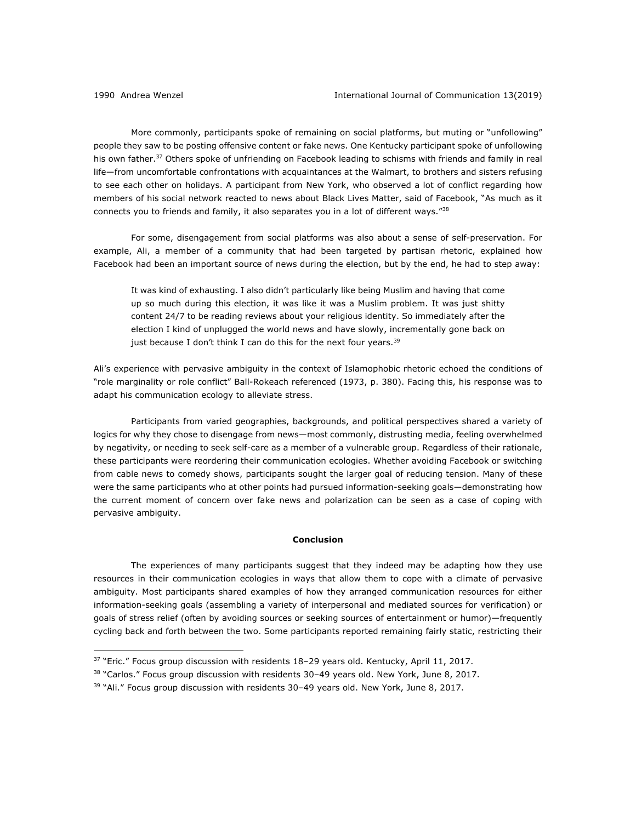<u>.</u>

More commonly, participants spoke of remaining on social platforms, but muting or "unfollowing" people they saw to be posting offensive content or fake news. One Kentucky participant spoke of unfollowing his own father.<sup>37</sup> Others spoke of unfriending on Facebook leading to schisms with friends and family in real life—from uncomfortable confrontations with acquaintances at the Walmart, to brothers and sisters refusing to see each other on holidays. A participant from New York, who observed a lot of conflict regarding how members of his social network reacted to news about Black Lives Matter, said of Facebook, "As much as it connects you to friends and family, it also separates you in a lot of different ways."38

For some, disengagement from social platforms was also about a sense of self-preservation. For example, Ali, a member of a community that had been targeted by partisan rhetoric, explained how Facebook had been an important source of news during the election, but by the end, he had to step away:

It was kind of exhausting. I also didn't particularly like being Muslim and having that come up so much during this election, it was like it was a Muslim problem. It was just shitty content 24/7 to be reading reviews about your religious identity. So immediately after the election I kind of unplugged the world news and have slowly, incrementally gone back on just because I don't think I can do this for the next four years. $39$ 

Ali's experience with pervasive ambiguity in the context of Islamophobic rhetoric echoed the conditions of "role marginality or role conflict" Ball-Rokeach referenced (1973, p. 380). Facing this, his response was to adapt his communication ecology to alleviate stress.

Participants from varied geographies, backgrounds, and political perspectives shared a variety of logics for why they chose to disengage from news—most commonly, distrusting media, feeling overwhelmed by negativity, or needing to seek self-care as a member of a vulnerable group. Regardless of their rationale, these participants were reordering their communication ecologies. Whether avoiding Facebook or switching from cable news to comedy shows, participants sought the larger goal of reducing tension. Many of these were the same participants who at other points had pursued information-seeking goals—demonstrating how the current moment of concern over fake news and polarization can be seen as a case of coping with pervasive ambiguity.

# **Conclusion**

The experiences of many participants suggest that they indeed may be adapting how they use resources in their communication ecologies in ways that allow them to cope with a climate of pervasive ambiguity. Most participants shared examples of how they arranged communication resources for either information-seeking goals (assembling a variety of interpersonal and mediated sources for verification) or goals of stress relief (often by avoiding sources or seeking sources of entertainment or humor)—frequently cycling back and forth between the two. Some participants reported remaining fairly static, restricting their

 $37$  "Eric." Focus group discussion with residents 18-29 years old. Kentucky, April 11, 2017.

<sup>&</sup>lt;sup>38</sup> "Carlos." Focus group discussion with residents 30-49 years old. New York, June 8, 2017.

 $39$  "Ali." Focus group discussion with residents 30-49 years old. New York, June 8, 2017.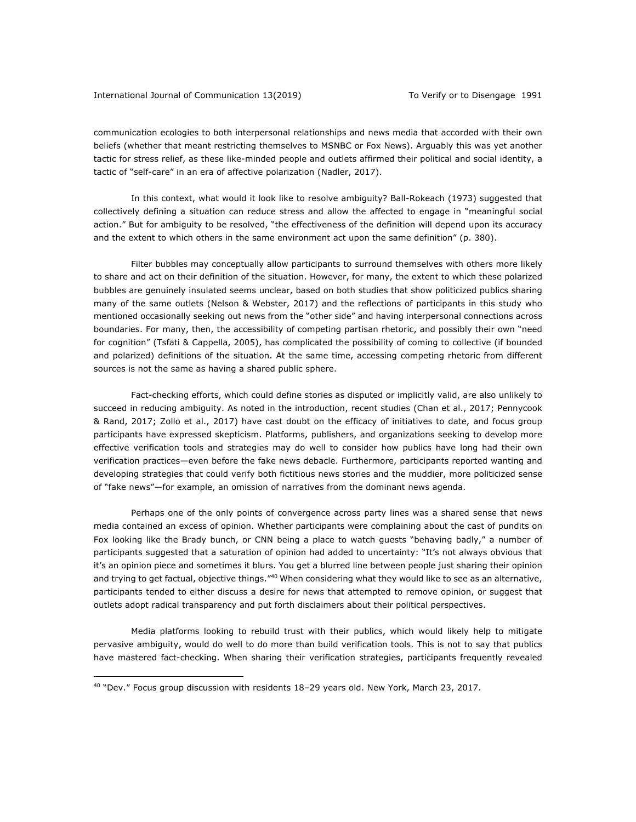# International Journal of Communication 13(2019) To Verify or to Disengage 1991

communication ecologies to both interpersonal relationships and news media that accorded with their own beliefs (whether that meant restricting themselves to MSNBC or Fox News). Arguably this was yet another tactic for stress relief, as these like-minded people and outlets affirmed their political and social identity, a tactic of "self-care" in an era of affective polarization (Nadler, 2017).

In this context, what would it look like to resolve ambiguity? Ball-Rokeach (1973) suggested that collectively defining a situation can reduce stress and allow the affected to engage in "meaningful social action." But for ambiguity to be resolved, "the effectiveness of the definition will depend upon its accuracy and the extent to which others in the same environment act upon the same definition" (p. 380).

Filter bubbles may conceptually allow participants to surround themselves with others more likely to share and act on their definition of the situation. However, for many, the extent to which these polarized bubbles are genuinely insulated seems unclear, based on both studies that show politicized publics sharing many of the same outlets (Nelson & Webster, 2017) and the reflections of participants in this study who mentioned occasionally seeking out news from the "other side" and having interpersonal connections across boundaries. For many, then, the accessibility of competing partisan rhetoric, and possibly their own "need for cognition" (Tsfati & Cappella, 2005), has complicated the possibility of coming to collective (if bounded and polarized) definitions of the situation. At the same time, accessing competing rhetoric from different sources is not the same as having a shared public sphere.

Fact-checking efforts, which could define stories as disputed or implicitly valid, are also unlikely to succeed in reducing ambiguity. As noted in the introduction, recent studies (Chan et al., 2017; Pennycook & Rand, 2017; Zollo et al., 2017) have cast doubt on the efficacy of initiatives to date, and focus group participants have expressed skepticism. Platforms, publishers, and organizations seeking to develop more effective verification tools and strategies may do well to consider how publics have long had their own verification practices—even before the fake news debacle. Furthermore, participants reported wanting and developing strategies that could verify both fictitious news stories and the muddier, more politicized sense of "fake news"—for example, an omission of narratives from the dominant news agenda.

Perhaps one of the only points of convergence across party lines was a shared sense that news media contained an excess of opinion. Whether participants were complaining about the cast of pundits on Fox looking like the Brady bunch, or CNN being a place to watch guests "behaving badly," a number of participants suggested that a saturation of opinion had added to uncertainty: "It's not always obvious that it's an opinion piece and sometimes it blurs. You get a blurred line between people just sharing their opinion and trying to get factual, objective things."<sup>40</sup> When considering what they would like to see as an alternative, participants tended to either discuss a desire for news that attempted to remove opinion, or suggest that outlets adopt radical transparency and put forth disclaimers about their political perspectives.

Media platforms looking to rebuild trust with their publics, which would likely help to mitigate pervasive ambiguity, would do well to do more than build verification tools. This is not to say that publics have mastered fact-checking. When sharing their verification strategies, participants frequently revealed

<sup>40</sup> "Dev." Focus group discussion with residents 18–29 years old. New York, March 23, 2017.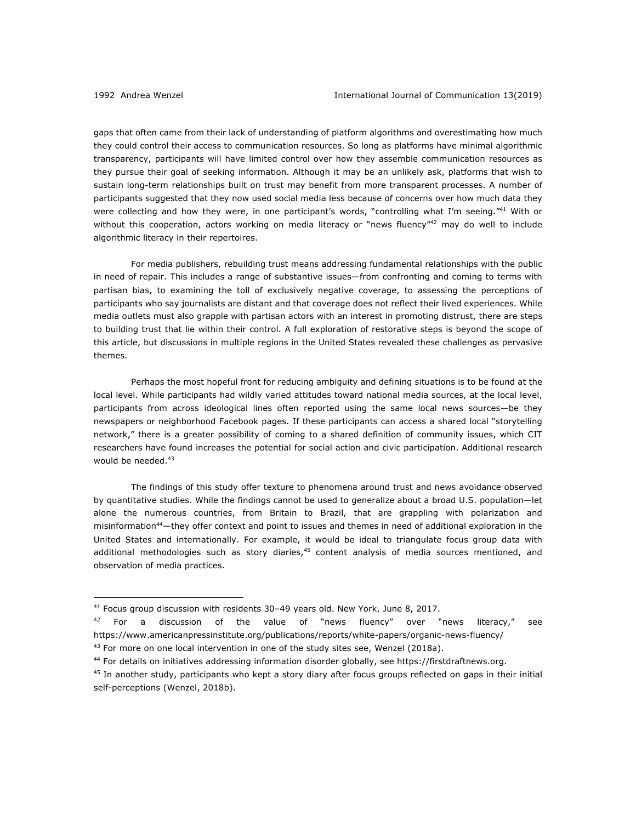<u>.</u>

gaps that often came from their lack of understanding of platform algorithms and overestimating how much they could control their access to communication resources. So long as platforms have minimal algorithmic transparency, participants will have limited control over how they assemble communication resources as they pursue their goal of seeking information. Although it may be an unlikely ask, platforms that wish to sustain long-term relationships built on trust may benefit from more transparent processes. A number of participants suggested that they now used social media less because of concerns over how much data they were collecting and how they were, in one participant's words, "controlling what I'm seeing."<sup>41</sup> With or without this cooperation, actors working on media literacy or "news fluency"<sup>42</sup> may do well to include algorithmic literacy in their repertoires.

For media publishers, rebuilding trust means addressing fundamental relationships with the public in need of repair. This includes a range of substantive issues—from confronting and coming to terms with partisan bias, to examining the toll of exclusively negative coverage, to assessing the perceptions of participants who say journalists are distant and that coverage does not reflect their lived experiences. While media outlets must also grapple with partisan actors with an interest in promoting distrust, there are steps to building trust that lie within their control. A full exploration of restorative steps is beyond the scope of this article, but discussions in multiple regions in the United States revealed these challenges as pervasive themes.

Perhaps the most hopeful front for reducing ambiguity and defining situations is to be found at the local level. While participants had wildly varied attitudes toward national media sources, at the local level, participants from across ideological lines often reported using the same local news sources—be they newspapers or neighborhood Facebook pages. If these participants can access a shared local "storytelling network," there is a greater possibility of coming to a shared definition of community issues, which CIT researchers have found increases the potential for social action and civic participation. Additional research would be needed.<sup>43</sup>

The findings of this study offer texture to phenomena around trust and news avoidance observed by quantitative studies. While the findings cannot be used to generalize about a broad U.S. population—let alone the numerous countries, from Britain to Brazil, that are grappling with polarization and misinformation44—they offer context and point to issues and themes in need of additional exploration in the United States and internationally. For example, it would be ideal to triangulate focus group data with additional methodologies such as story diaries, $45$  content analysis of media sources mentioned, and observation of media practices.

 $41$  Focus group discussion with residents 30–49 years old. New York, June 8, 2017.

 $42$  For a discussion of the value of "news fluency" over "news literacy," see https://www.americanpressinstitute.org/publications/reports/white-papers/organic-news-fluency/

 $43$  For more on one local intervention in one of the study sites see, Wenzel (2018a).

<sup>44</sup> For details on initiatives addressing information disorder globally, see https://firstdraftnews.org.

 $45$  In another study, participants who kept a story diary after focus groups reflected on gaps in their initial self-perceptions (Wenzel, 2018b).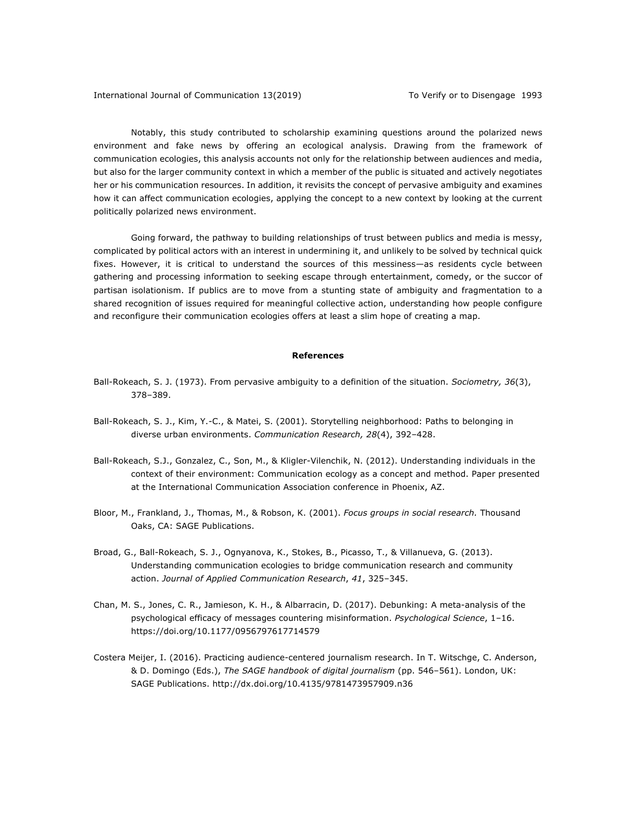Notably, this study contributed to scholarship examining questions around the polarized news environment and fake news by offering an ecological analysis. Drawing from the framework of communication ecologies, this analysis accounts not only for the relationship between audiences and media, but also for the larger community context in which a member of the public is situated and actively negotiates her or his communication resources. In addition, it revisits the concept of pervasive ambiguity and examines how it can affect communication ecologies, applying the concept to a new context by looking at the current politically polarized news environment.

Going forward, the pathway to building relationships of trust between publics and media is messy, complicated by political actors with an interest in undermining it, and unlikely to be solved by technical quick fixes. However, it is critical to understand the sources of this messiness—as residents cycle between gathering and processing information to seeking escape through entertainment, comedy, or the succor of partisan isolationism. If publics are to move from a stunting state of ambiguity and fragmentation to a shared recognition of issues required for meaningful collective action, understanding how people configure and reconfigure their communication ecologies offers at least a slim hope of creating a map.

#### **References**

- Ball-Rokeach, S. J. (1973). From pervasive ambiguity to a definition of the situation. *Sociometry, 36*(3), 378–389.
- Ball-Rokeach, S. J., Kim, Y.-C., & Matei, S. (2001). Storytelling neighborhood: Paths to belonging in diverse urban environments. *Communication Research, 28*(4), 392–428.
- Ball-Rokeach, S.J., Gonzalez, C., Son, M., & Kligler-Vilenchik, N. (2012). Understanding individuals in the context of their environment: Communication ecology as a concept and method. Paper presented at the International Communication Association conference in Phoenix, AZ.
- Bloor, M., Frankland, J., Thomas, M., & Robson, K. (2001). *Focus groups in social research.* Thousand Oaks, CA: SAGE Publications.
- Broad, G., Ball-Rokeach, S. J., Ognyanova, K., Stokes, B., Picasso, T., & Villanueva, G. (2013). Understanding communication ecologies to bridge communication research and community action. *Journal of Applied Communication Research*, *41*, 325–345.
- Chan, M. S., Jones, C. R., Jamieson, K. H., & Albarracin, D. (2017). Debunking: A meta-analysis of the psychological efficacy of messages countering misinformation. *Psychological Science*, 1–16. https://doi.org/10.1177/0956797617714579
- Costera Meijer, I. (2016). Practicing audience-centered journalism research. In T. Witschge, C. Anderson, & D. Domingo (Eds.), *The SAGE handbook of digital journalism* (pp. 546–561). London, UK: SAGE Publications. http://dx.doi.org/10.4135/9781473957909.n36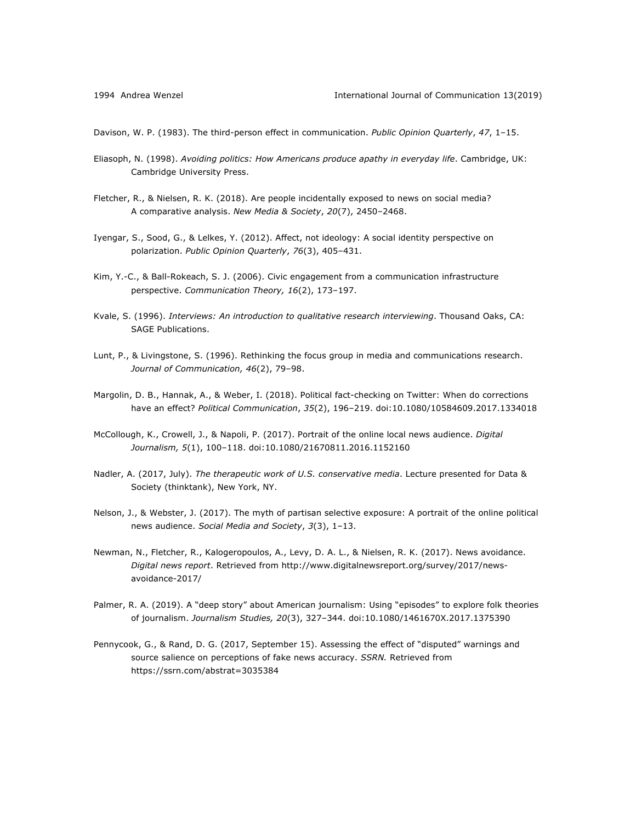Davison, W. P. (1983). The third-person effect in communication. *Public Opinion Quarterly*, *47*, 1–15.

- Eliasoph, N. (1998). *Avoiding politics: How Americans produce apathy in everyday life*. Cambridge, UK: Cambridge University Press.
- Fletcher, R., & Nielsen, R. K. (2018). Are people incidentally exposed to news on social media? A comparative analysis. *New Media & Society*, 20(7), 2450-2468.
- Iyengar, S., Sood, G., & Lelkes, Y. (2012). Affect, not ideology: A social identity perspective on polarization. *Public Opinion Quarterly*, *76*(3), 405–431.
- Kim, Y.-C., & Ball-Rokeach, S. J. (2006). Civic engagement from a communication infrastructure perspective. *Communication Theory, 16*(2), 173–197.
- Kvale, S. (1996). *Interviews: An introduction to qualitative research interviewing*. Thousand Oaks, CA: SAGE Publications.
- Lunt, P., & Livingstone, S. (1996). Rethinking the focus group in media and communications research. *Journal of Communication, 46*(2), 79–98.
- Margolin, D. B., Hannak, A., & Weber, I. (2018). Political fact-checking on Twitter: When do corrections have an effect? *Political Communication*, *35*(2), 196–219. doi:10.1080/10584609.2017.1334018
- McCollough, K., Crowell, J., & Napoli, P. (2017). Portrait of the online local news audience. *Digital Journalism, 5*(1), 100–118. doi:10.1080/21670811.2016.1152160
- Nadler, A. (2017, July). *The therapeutic work of U.S. conservative media*. Lecture presented for Data & Society (thinktank), New York, NY.
- Nelson, J., & Webster, J. (2017). The myth of partisan selective exposure: A portrait of the online political news audience. *Social Media and Society*, *3*(3), 1–13.
- Newman, N., Fletcher, R., Kalogeropoulos, A., Levy, D. A. L., & Nielsen, R. K. (2017). News avoidance. *Digital news report*. Retrieved from http://www.digitalnewsreport.org/survey/2017/newsavoidance-2017/
- Palmer, R. A. (2019). A "deep story" about American journalism: Using "episodes" to explore folk theories of journalism. *Journalism Studies, 20*(3), 327–344. doi:10.1080/1461670X.2017.1375390
- Pennycook, G., & Rand, D. G. (2017, September 15). Assessing the effect of "disputed" warnings and source salience on perceptions of fake news accuracy. *SSRN.* Retrieved from https://ssrn.com/abstrat=3035384